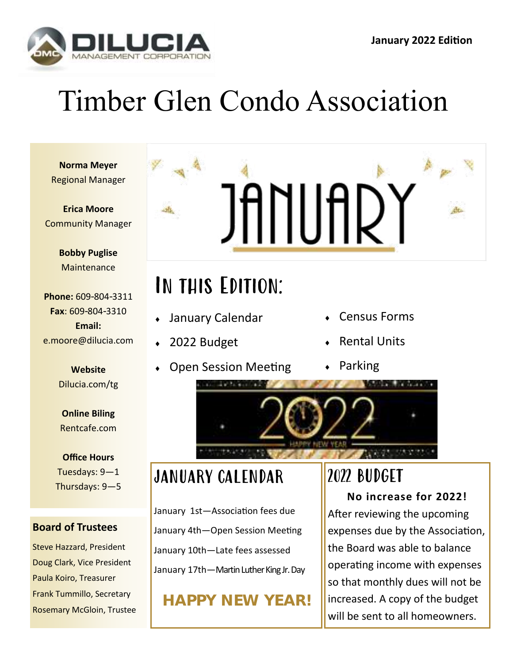

## Timber Glen Condo Association

**Norma Meyer** Regional Manager

**Erica Moore** Community Manager

> **Bobby Puglise Maintenance**

**Phone:** 609-804-3311 **Fax**: 609-804-3310 **Email:** e.moore@dilucia.com

> **Website** Dilucia.com/tg

**Online Biling** Rentcafe.com

**Office Hours** Tuesdays: 9—1 Thursdays: 9—5

#### **Board of Trustees**

Steve Hazzard, President Doug Clark, Vice President Paula Koiro, Treasurer Frank Tummillo, Secretary Rosemary McGloin, Trustee



## In this Edition:

- January Calendar
- 2022 Budget
- Open Session Meeting
- Census Forms
- Rental Units
- Parking



#### JANUARY CALENDAR

January 1st—Association fees due January 4th—Open Session Meeting January 10th—Late fees assessed January 17th—Martin Luther King Jr. Day

**HAPPY NEW YEAR!**

## 2022 BUDGET

**No increase for 2022!** After reviewing the upcoming expenses due by the Association, the Board was able to balance operating income with expenses so that monthly dues will not be increased. A copy of the budget will be sent to all homeowners.